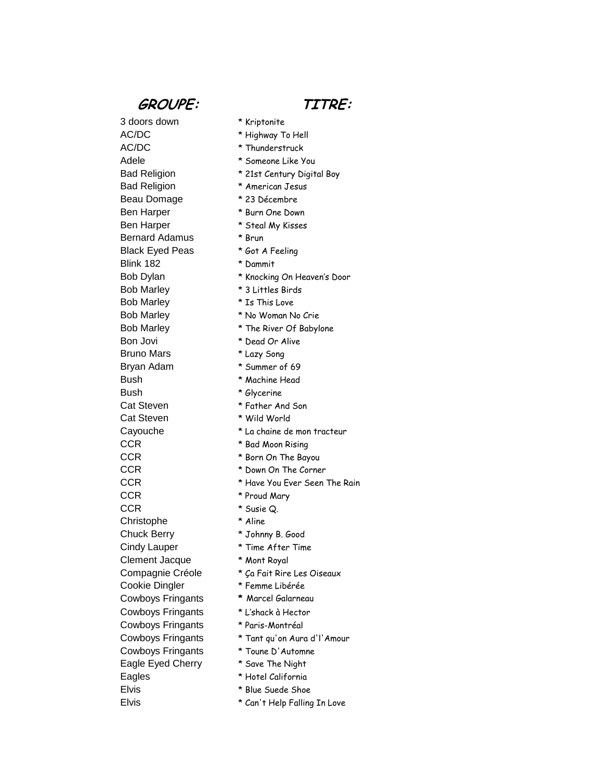## **GROUPE: TITRE:**

3 doors down \* Kriptonite AC/DC \* Highway To Hell AC/DC \* Thunderstruck Adele \* Someone Like You Bad Religion \* American Jesus Beau Domage \* 23 Décembre Ben Harper \* Burn One Down Ben Harper \* Steal My Kisses Bernard Adamus \* Brun Black Eyed Peas \* Got A Feeling Blink 182 \* Dammit Bob Marley \* 3 Littles Birds Bob Marley \* Is This Love Bob Marley \* No Woman No Crie Bob Marley \* The River Of Babylone Bon Jovi \* Dead Or Alive Bruno Mars \* Lazy Song Bryan Adam \* Summer of 69 Bush \* Machine Head Bush \* Glycerine Cat Steven \* Father And Son Cat Steven \* Wild World CCR \* Bad Moon Rising CCR **\*** Born On The Bayou CCR  $*$  Down On The Corner CCR \* Proud Mary CCR \* Susie Q. Christophe \* Aline Chuck Berry \* Johnny B. Good Cindy Lauper \* Time After Time Clement Jacque \* Mont Royal Cookie Dingler \* Femme Libérée Cowboys Fringants **\*** Marcel Galarneau Cowboys Fringants \* L'shack à Hector Cowboys Fringants \* Paris-Montréal Cowboys Fringants \* Toune D'Automne Eagle Eyed Cherry \* Save The Night Eagles \* Hotel California Elvis \* Blue Suede Shoe

- 
- 
- 
- Bad Religion \* 21st Century Digital Boy
	-
	-
	-
	-
	-
	-
	-
- Bob Dylan \* Knocking On Heaven's Door
	-
	-
	-
	-
	-
	-
	-
	-
	-
	-
	-
- Cayouche \* La chaine de mon tracteur
	-
	-
	-
- CCR \* Have You Ever Seen The Rain
	-
	-
	-
	-
	-
	-
- Compagnie Créole \* Ça Fait Rire Les Oiseaux
	-
	-
	-
	-
- Cowboys Fringants \* Tant qu'on Aura d'l'Amour
	-
	-
	-
	-
- Elvis \* Can't Help Falling In Love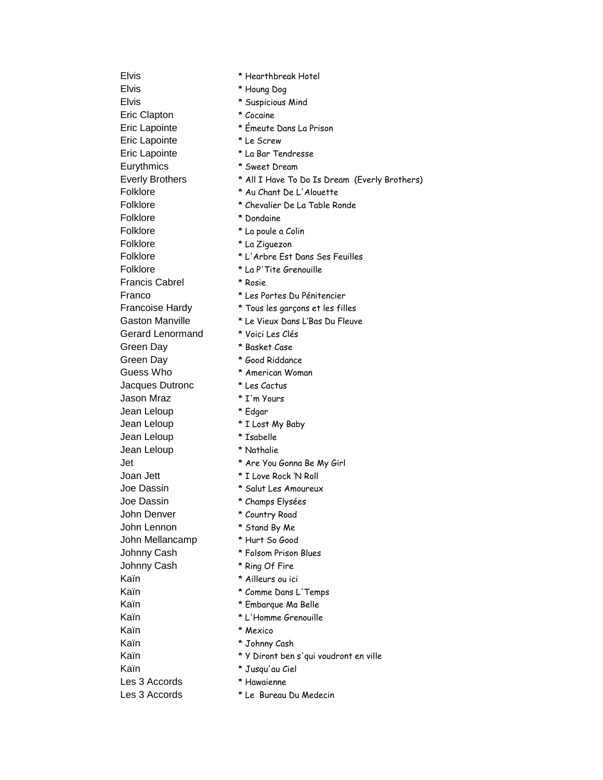Elvis \* Houng Dog Elvis \* Suspicious Mind Eric Clapton \* Cocaine Eric Lapointe \* Émeute Dans La Prison Eric Lapointe \* Le Screw Eric Lapointe \* La Bar Tendresse Eurythmics \* Sweet Dream Folklore \* Dondaine Folklore \* La poule a Colin Folklore \* La Ziguezon Folklore \* La P'Tite Grenouille Francis Cabrel \* Rosie Gerard Lenormand \* Voici Les Clés Green Day \* Basket Case Green Day \* 600d Riddance Guess Who  $*$  American Woman Jacques Dutronc \* Les Cactus Jason Mraz \* I'm Yours Jean Leloup \* Edgar Jean Leloup \* I Lost My Baby Jean Leloup \* Isabelle Jean Leloup \* Nathalie Joan Jett \* I Love Rock 'N Roll Joe Dassin \* Salut Les Amoureux Joe Dassin \* Champs Elysées John Denver \* Country Road John Lennon \* Stand By Me John Mellancamp \* Hurt So Good Johnny Cash \* Folsom Prison Blues Johnny Cash \* Ring Of Fire Kaïn \* Ailleurs ou ici Kaïn \* Comme Dans L'Temps Kaïn \* Embarque Ma Belle Kaïn **\* L'Homme Grenouille** Kaïn \* Mexico Kaïn \* Johnny Cash Kaïn \* Jusqu'au Ciel Les 3 Accords \* Hawaienne

Elvis \* Hearthbreak Hotel Everly Brothers \* All I Have To Do Is Dream (Everly Brothers) Folklore \* Au Chant De L'Alouette Folklore \* Chevalier De La Table Ronde Folklore \* L'Arbre Est Dans Ses Feuilles Franco \* Les Portes Du Pénitencier Francoise Hardy \* Tous les garçons et les filles Gaston Manville \* Le Vieux Dans L'Bas Du Fleuve Jet \* Are You Gonna Be My Girl Kaïn \* Y Diront ben s'qui voudront en ville

- 
- Les 3 Accords \* Le Bureau Du Medecin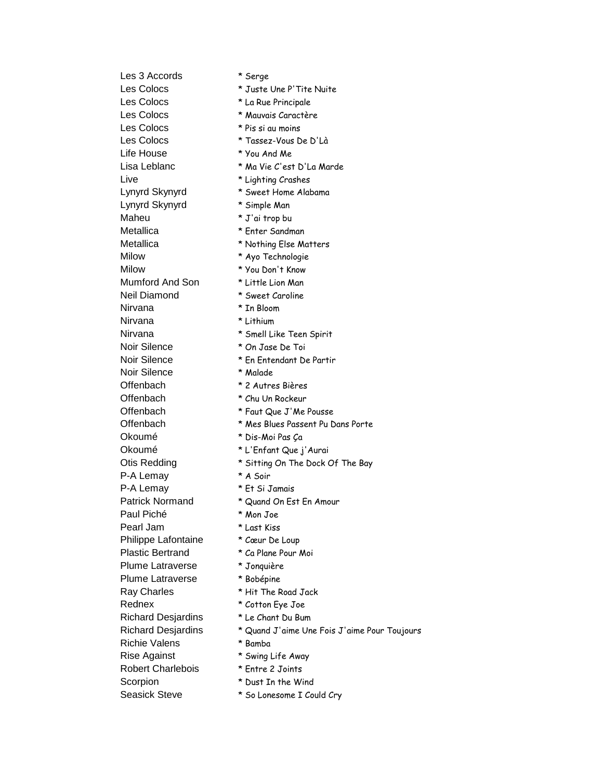Les 3 Accords \* Serge Les Colocs  $*$  Juste Une P'Tite Nuite Les Colocs  $*$  La Rue Principale Les Colocs \* Mauvais Caractère Les Colocs \* Pis si au moins Les Colocs  $*$  Tassez-Vous De D'Là Life House \* You And Me Live  $*$  Lighting Crashes Lynyrd Skynyrd \* Sweet Home Alabama Lynyrd Skynyrd \* Simple Man Maheu \* J'ai trop bu Metallica \* Enter Sandman Metallica \* Nothing Else Matters Milow \* Ayo Technologie Milow \* You Don't Know Mumford And Son \* Little Lion Man Neil Diamond \* Sweet Caroline Nirvana \* In Bloom Nirvana \* Lithium Nirvana \* Smell Like Teen Spirit Noir Silence  $*$  On Jase De Toi Noir Silence \* En Entendant De Partir Noir Silence \* Malade Offenbach \* 2 Autres Bières Offenbach \* Chu Un Rockeur Offenbach \* Faut Que J'Me Pousse Okoumé \* Dis-Moi Pas Ça Okoumé \* L'Enfant Que j'Aurai P-A Lemay \* A Soir P-A Lemay \* Et Si Jamais Patrick Normand \* Quand On Est En Amour Paul Piché \* Mon Joe Pearl Jam \* Last Kiss Philippe Lafontaine \* Cœur De Loup Plastic Bertrand \* Ca Plane Pour Moi Plume Latraverse \* Jonquière Plume Latraverse \* Bobépine Ray Charles \* Hit The Road Jack Rednex \* Cotton Eye Joe Richard Desjardins \* Le Chant Du Bum Richie Valens \* Bamba Rise Against \*  $\frac{1}{2}$  \* Swing Life Away Robert Charlebois \* Entre 2 Joints Scorpion \* Dust In the Wind

- 
- 
- 
- 
- 
- 
- 
- Lisa Leblanc  $*$  Ma Vie C'est D'La Marde
	-
	-
	-
	-
	-
	-
	-
	-
	-
	-
	-
	-
	-
	-
	-
	-
	-
	-
	-
- Offenbach \* Mes Blues Passent Pu Dans Porte
	-
	-
- Otis Redding \* Sitting On The Dock Of The Bay
	-
	-
	-
	-
	-
	-
	-
	-
	-
	-
	-
	-
- Richard Desjardins \* Quand J'aime Une Fois J'aime Pour Toujours
	-
	-
	-
	-
- Seasick Steve \* So Lonesome I Could Cry